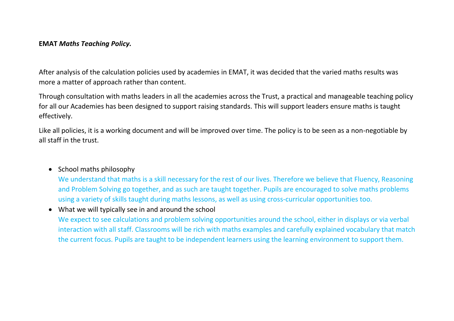#### **EMAT** *Maths Teaching Policy.*

After analysis of the calculation policies used by academies in EMAT, it was decided that the varied maths results was more a matter of approach rather than content.

Through consultation with maths leaders in all the academies across the Trust, a practical and manageable teaching policy for all our Academies has been designed to support raising standards. This will support leaders ensure maths is taught effectively.

Like all policies, it is a working document and will be improved over time. The policy is to be seen as a non-negotiable by all staff in the trust.

## • School maths philosophy

We understand that maths is a skill necessary for the rest of our lives. Therefore we believe that Fluency, Reasoning and Problem Solving go together, and as such are taught together. Pupils are encouraged to solve maths problems using a variety of skills taught during maths lessons, as well as using cross-curricular opportunities too.

• What we will typically see in and around the school

We expect to see calculations and problem solving opportunities around the school, either in displays or via verbal interaction with all staff. Classrooms will be rich with maths examples and carefully explained vocabulary that match the current focus. Pupils are taught to be independent learners using the learning environment to support them.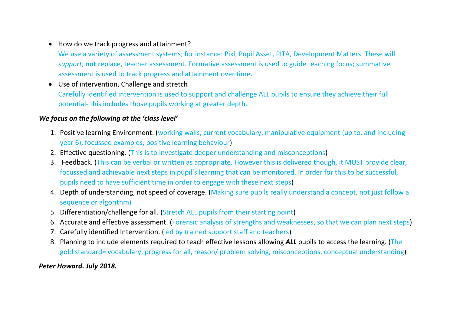• How do we track progress and attainment?

We use a variety of assessment systems; for instance: Pixl, Pupil Asset, PITA, Development Matters. These will *support*, **not** replace, teacher assessment. Formative assessment is used to guide teaching focus; summative assessment is used to track progress and attainment over time.

• Use of intervention, Challenge and stretch Carefully identified intervention is used to support and challenge ALL pupils to ensure they achieve their full potential- this includes those pupils working at greater depth.

# *We focus on the following at the 'class level'*

- 1. Positive learning Environment. (working walls, current vocabulary, manipulative equipment (up to, and including year 6), focussed examples, positive learning behaviour)
- 2. Effective questioning. (This is to investigate deeper understanding and misconceptions)
- 3. Feedback. (This can be verbal or written as appropriate. However this is delivered though, it MUST provide clear, focussed and achievable next steps in pupil's learning that can be monitored. In order for this to be successful, pupils need to have sufficient time in order to engage with these next steps)
- 4. Depth of understanding, not speed of coverage. (Making sure pupils really understand a concept, not just follow a sequence or algorithm)
- 5. Differentiation/challenge for all. (Stretch ALL pupils from their starting point)
- 6. Accurate and effective assessment. (Forensic analysis of strengths and weaknesses, so that we can plan next steps)
- 7. Carefully identified Intervention. (led by trained support staff and teachers)
- 8. Planning to include elements required to teach effective lessons allowing *ALL* pupils to access the learning. (The gold standard= vocabulary, progress for all, reason/ problem solving, misconceptions, conceptual understanding)

## *Peter Howard. July 2018.*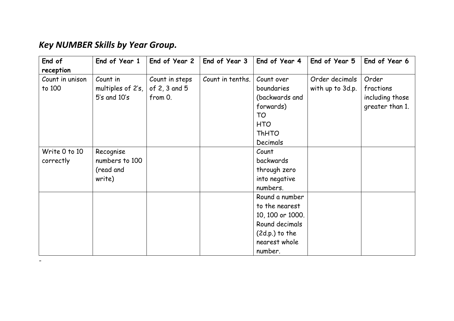# *Key NUMBER Skills by Year Group.*

-

| End of          | End of Year 1     | End of Year 2  | End of Year 3    | End of Year 4    | End of Year 5    | End of Year 6   |
|-----------------|-------------------|----------------|------------------|------------------|------------------|-----------------|
| reception       |                   |                |                  |                  |                  |                 |
| Count in unison | Count in          | Count in steps | Count in tenths. | Count over       | Order decimals   | Order           |
| to 100          | multiples of 2's, | of 2, 3 and 5  |                  | boundaries       | with up to 3d.p. | fractions       |
|                 | $5's$ and $10's$  | from 0.        |                  | (backwards and   |                  | including those |
|                 |                   |                |                  | forwards)        |                  | greater than 1. |
|                 |                   |                |                  | TO               |                  |                 |
|                 |                   |                |                  | <b>HTO</b>       |                  |                 |
|                 |                   |                |                  | <b>ThHTO</b>     |                  |                 |
|                 |                   |                |                  | Decimals         |                  |                 |
| Write 0 to 10   | Recognise         |                |                  | Count            |                  |                 |
| correctly       | numbers to 100    |                |                  | backwards        |                  |                 |
|                 | (read and         |                |                  | through zero     |                  |                 |
|                 | write)            |                |                  | into negative    |                  |                 |
|                 |                   |                |                  | numbers.         |                  |                 |
|                 |                   |                |                  | Round a number   |                  |                 |
|                 |                   |                |                  | to the nearest   |                  |                 |
|                 |                   |                |                  | 10, 100 or 1000. |                  |                 |
|                 |                   |                |                  | Round decimals   |                  |                 |
|                 |                   |                |                  | $(2d.p.)$ to the |                  |                 |
|                 |                   |                |                  | nearest whole    |                  |                 |
|                 |                   |                |                  | number.          |                  |                 |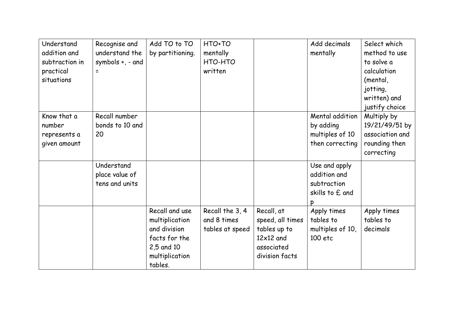| Understand     | Recognise and         | Add TO to TO     | HTO+TO          |                  | Add decimals     | Select which    |
|----------------|-----------------------|------------------|-----------------|------------------|------------------|-----------------|
| addition and   | understand the        | by partitioning. | mentally        |                  | mentally         | method to use   |
| subtraction in | symbols $+$ , $-$ and |                  | HTO-HTO         |                  |                  | to solve a      |
| practical      |                       |                  | written         |                  |                  | calculation     |
| situations     |                       |                  |                 |                  |                  | (mental,        |
|                |                       |                  |                 |                  |                  | jotting,        |
|                |                       |                  |                 |                  |                  | written) and    |
|                |                       |                  |                 |                  |                  | justify choice  |
| Know that a    | Recall number         |                  |                 |                  | Mental addition  | Multiply by     |
| number         | bonds to 10 and       |                  |                 |                  | by adding        | 19/21/49/51 by  |
| represents a   | 20                    |                  |                 |                  | multiples of 10  | association and |
| given amount   |                       |                  |                 |                  | then correcting  | rounding then   |
|                |                       |                  |                 |                  |                  | correcting      |
|                | Understand            |                  |                 |                  | Use and apply    |                 |
|                | place value of        |                  |                 |                  | addition and     |                 |
|                | tens and units        |                  |                 |                  | subtraction      |                 |
|                |                       |                  |                 |                  |                  |                 |
|                |                       |                  |                 |                  | skills to £ and  |                 |
|                |                       |                  |                 |                  |                  |                 |
|                |                       | Recall and use   | Recall the 3, 4 | Recall, at       | Apply times      | Apply times     |
|                |                       | multiplication   | and 8 times     | speed, all times | tables to        | tables to       |
|                |                       | and division     | tables at speed | tables up to     | multiples of 10, | decimals        |
|                |                       | facts for the    |                 | $12\times12$ and | 100 etc          |                 |
|                |                       | 2,5 and 10       |                 | associated       |                  |                 |
|                |                       | multiplication   |                 | division facts   |                  |                 |
|                |                       | tables.          |                 |                  |                  |                 |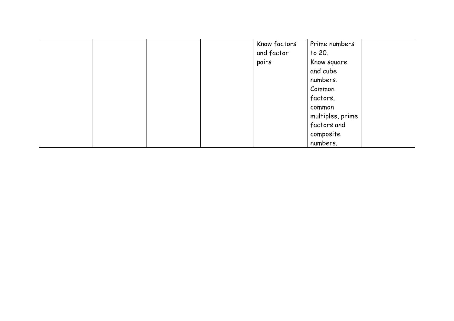|  |  | Know factors<br>and factor | Prime numbers<br>to 20. |  |
|--|--|----------------------------|-------------------------|--|
|  |  | pairs                      | Know square             |  |
|  |  |                            | and cube                |  |
|  |  |                            | numbers.                |  |
|  |  |                            | Common                  |  |
|  |  |                            | factors,                |  |
|  |  |                            | common                  |  |
|  |  |                            | multiples, prime        |  |
|  |  |                            | factors and             |  |
|  |  |                            | composite               |  |
|  |  |                            | numbers.                |  |